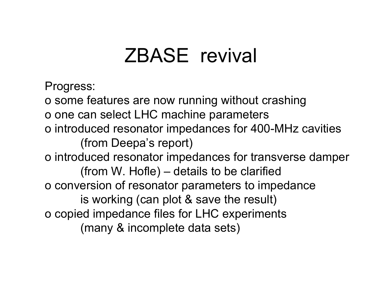# ZBASE revival

Progress:

o some features are now running without crashing

o one can select LHC machine parameters

o introduced resonator impedances for 400-MHz cavities (from Deepa's report)

o introduced resonator impedances for transverse damper (from W. Hofle) – details to be clarified o conversion of resonator parameters to impedance is working (can plot & save the result) o copied impedance files for LHC experiments (many & incomplete data sets)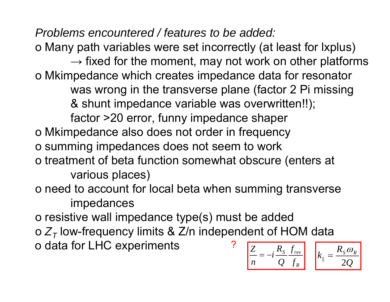*Problems encountered / features to be added:*

o Many path variables were set incorrectly (at least for lxplus)

 $\rightarrow$  fixed for the moment, may not work on other platforms o Mkimpedance which creates impedance data for resonator was wrong in the transverse plane (factor 2 Pi missing & shunt impedance variable was overwritten!!); factor >20 error, funny impedance shaper o Mkimpedance also does not order in frequency o summing impedances does not seem to work o treatment of beta function somewhat obscure (enters at various places)

o need to account for local beta when summing transverse impedances

o resistive wall impedance type(s) must be added

o  $Z_{\mathcal{T}}$  low-frequency limits & Z/n independent of HOM data o data for LHC experiments *RZRk*?

$$
\frac{Z}{n} = -i \frac{R_S}{Q} \frac{f_{rev}}{f_R}
$$

*Q*

ω

*R*

*S*

2

 $\|T\|$ 

=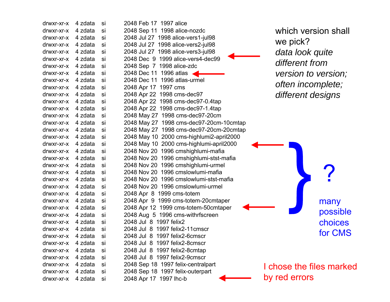| drwxr-xr-x                      | 4 zdata | si | 2048 Feb 17 1997 alice     |
|---------------------------------|---------|----|----------------------------|
| drwxr-xr-x                      | 4 zdata | si | 2048 Sep 11<br>1998 alice  |
| drwxr-xr-x                      | 4 zdata | si | 2048 Jul 27 1998 alice-v   |
| drwxr-xr-x                      | 4 zdata | si | 2048 Jul 27<br>1998 alice- |
| drwxr-xr-x                      | 4 zdata | si | 2048 Jul 27<br>1998 alice- |
| drwxr-xr-x                      | 4 zdata | si | 1999 alice-<br>2048 Dec 9  |
| drwxr-xr-x                      | 4 zdata | si | 2048 Sep 7 1998 alice-     |
| drwxr-xr-x                      | 4 zdata | si | 2048 Dec 11<br>1996 atlas  |
| drwxr-xr-x                      | 4 zdata | si | 1996 atlas<br>2048 Dec 11  |
| drwxr-xr-x                      | 4 zdata | si | 1997 cms<br>2048 Apr 17    |
| drwxr-xr-x                      | 4 zdata | si | 2048 Apr 22<br>1998 cms-   |
| drwxr-xr-x                      | 4 zdata | si | 2048 Apr 22<br>1998 cms-   |
| drwxr-xr-x                      | 4 zdata | si | 1998 cms-<br>2048 Apr 22   |
| drwxr-xr-x                      | 4 zdata | si | 1998 cms<br>2048 May 27    |
| drwxr-xr-x                      | 4 zdata | si | 2048 May 27<br>1998 cms-   |
| drwxr-xr-x                      | 4 zdata | si | 2048 May 27<br>1998 cms-   |
| drwxr-xr-x                      | 4 zdata | si | 2048 May 10<br>2000 cms    |
| drwxr-xr-x                      | 4 zdata | si | 2048 May 10<br>2000 cms    |
| drwxr-xr-x                      | 4 zdata | si | 2048 Nov 20<br>1996 cmsl   |
| drwxr-xr-x                      | 4 zdata | si | 2048 Nov 20<br>1996 cmsl   |
| drwxr-xr-x                      | 4 zdata | si | 2048 Nov 20<br>1996 cmsl   |
| drwxr-xr-x                      | 4 zdata | si | 2048 Nov 20<br>1996 cmsl   |
| drwxr-xr-x                      | 4 zdata | si | 2048 Nov 20<br>1996 cmsl   |
| drwxr-xr-x                      | 4 zdata | si | 1996 cmsl<br>2048 Nov 20   |
| drwxr-xr-x                      | 4 zdata | si | 2048 Apr 8 1999 cms-to     |
| drwxr-xr-x                      | 4 zdata | si | 2048 Apr 9<br>1999 cms-t   |
| drwxr-xr-x                      | 4 zdata | si | 2048 Apr 12 1999 cms-1     |
| drwxr-xr-x                      | 4 zdata | si | 2048 Aug 5 1996 cms-       |
| drwxr-xr-x                      | 4 zdata | si | 2048 Jul 8 1997 felix2     |
| drwxr-xr-x                      | 4 zdata | si | 2048 Jul 8 1997 felix2-1   |
| drwxr-xr-x                      | 4 zdata | si | 1997 felix2-<br>2048 Jul 8 |
| drwxr-xr-x                      | 4 zdata | si | 2048 Jul 8 1997 felix2-8   |
| drwxr-xr-x 4 zdata              |         | si | 2048 Jul 8 1997 felix2-8   |
| drwxr-xr-x 4 zdata              |         | si | 2048 Jul 8 1997 felix2-9   |
| drwxr-xr-x 4 zdata              |         | si | 2048 Sep 18 1997 felix-    |
| drwxr-xr-x 4 zdata              |         | si | 2048 Sep 18 1997 felix-    |
| $d$ rwyr-yr-y $\Delta$ zdata si |         |    | 2048 Apr 17 1997 lhc-h     |

| drwxr-xr-x         | 4 zdata | si | 2048 Feb 17 1997 alice                   |
|--------------------|---------|----|------------------------------------------|
| drwxr-xr-x         | 4 zdata | si | 2048 Sep 11 1998 alice-nozdc             |
| drwxr-xr-x         | 4 zdata | si | 2048 Jul 27 1998 alice-vers1-jul98       |
| drwxr-xr-x         | 4 zdata | si | 2048 Jul 27 1998 alice-vers2-jul98       |
| drwxr-xr-x         | 4 zdata | si | 2048 Jul 27 1998 alice-vers3-jul98       |
| drwxr-xr-x         | 4 zdata | si | 2048 Dec 9 1999 alice-vers4-dec99        |
| drwxr-xr-x         | 4 zdata | si | 2048 Sep 7 1998 alice-zdc                |
| drwxr-xr-x         | 4 zdata | si | 2048 Dec 11 1996 atlas                   |
| drwxr-xr-x         | 4 zdata | si | 2048 Dec 11 1996 atlas-urmel             |
| drwxr-xr-x         | 4 zdata | si | 2048 Apr 17 1997 cms                     |
| drwxr-xr-x         | 4 zdata | si | 2048 Apr 22 1998 cms-dec97               |
| drwxr-xr-x         | 4 zdata | si | 2048 Apr 22 1998 cms-dec97-0.4tap        |
| drwxr-xr-x         | 4 zdata | si | 2048 Apr 22 1998 cms-dec97-1.4tap        |
| drwxr-xr-x         | 4 zdata | si | 2048 May 27 1998 cms-dec97-20cm          |
| drwxr-xr-x         | 4 zdata | si | 2048 May 27 1998 cms-dec97-20cm-10cmtap  |
| drwxr-xr-x         | 4 zdata | si | 2048 May 27 1998 cms-dec97-20cm-20cmtap  |
| drwxr-xr-x         | 4 zdata | si | 2048 May 10 2000 cms-highlumi2-april2000 |
| drwxr-xr-x         | 4 zdata | si | 2048 May 10 2000 cms-highlumi-april2000  |
| drwxr-xr-x         | 4 zdata | si | 2048 Nov 20 1996 cmshighlumi-mafia       |
| drwxr-xr-x         | 4 zdata | si | 2048 Nov 20 1996 cmshighlumi-stst-mafia  |
| drwxr-xr-x         | 4 zdata | si | 2048 Nov 20 1996 cmshighlumi-urmel       |
| drwxr-xr-x         | 4 zdata | si | 2048 Nov 20 1996 cmslowlumi-mafia        |
| drwxr-xr-x         | 4 zdata | si | 2048 Nov 20 1996 cmslowlumi-stst-mafia   |
| drwxr-xr-x         | 4 zdata | si | 2048 Nov 20 1996 cmslowlumi-urmel        |
| drwxr-xr-x         | 4 zdata | si | 2048 Apr 8 1999 cms-totem                |
| drwxr-xr-x         | 4 zdata | si | 2048 Apr 9 1999 cms-totem-20 cmtaper     |
| drwxr-xr-x         | 4 zdata | si | 2048 Apr 12 1999 cms-totem-50cmtaper     |
| drwxr-xr-x         | 4 zdata | si | 2048 Aug 5 1996 cms-withrfscreen         |
| drwxr-xr-x         | 4 zdata | si | 2048 Jul 8 1997 felix2                   |
| drwxr-xr-x         | 4 zdata | si | 2048 Jul 8 1997 felix2-11 cmscr          |
| drwxr-xr-x         | 4 zdata | si | 2048 Jul 8 1997 felix2-6cmscr            |
| drwxr-xr-x 4 zdata |         | si | 2048 Jul 8 1997 felix2-8cmscr            |
| drwxr-xr-x         | 4 zdata | si | 2048 Jul 8 1997 felix2-8cmtap            |
| drwxr-xr-x         | 4 zdata | si | 2048 Jul 8 1997 felix2-9cmscr            |
| drwxr-xr-x         | 4 zdata | si | 2048 Sep 18 1997 felix-centralpart       |
| drwxr-xr-x         | 4 zdata | si | 2048 Sep 18 1997 felix-outerpart         |
| drwxr-xr-x         | 4 zdata | si | 2048 Apr 17 1997 lhc-b                   |

which version shall we pick? *data look quite different from version to version; often incomplete; different designs*

> ?many possible choices for CMS

I chose the files marked by red errors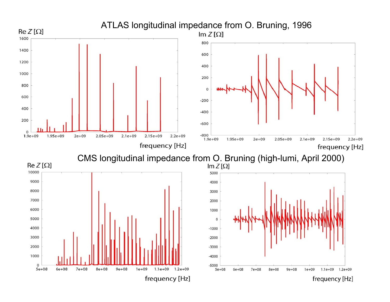

frequency [Hz]

frequency [Hz]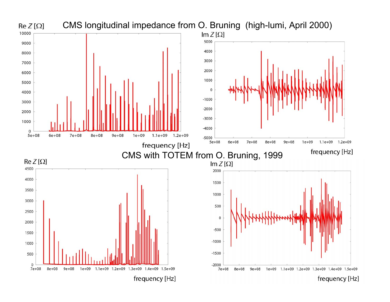

frequency [Hz]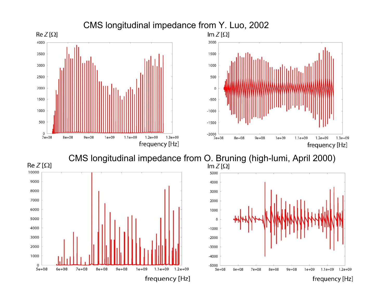

CMS longitudinal impedance from O. Bruning (high-lumi, April 2000)  $\ln Z[\Omega]$ 





frequency [Hz]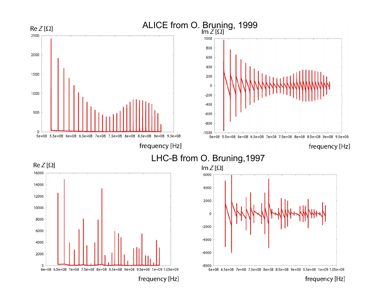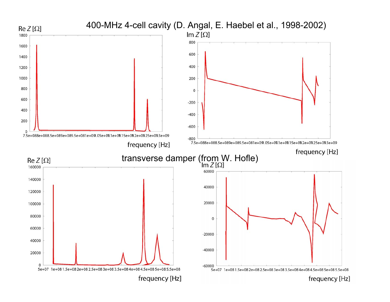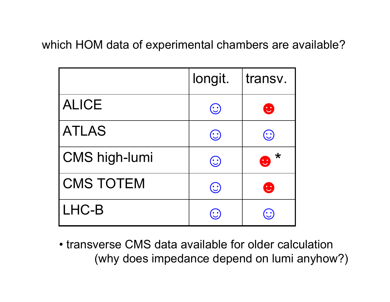which HOM data of experimental chambers are available?

|                      | longit.                   | transv.                 |
|----------------------|---------------------------|-------------------------|
| <b>ALICE</b>         | $(\ddot{\mathbb{C}})$     | $\mathbf{C}$            |
| <b>ATLAS</b>         | $(\cdot)$                 | $\left(\cdot\right)$    |
| <b>CMS high-lumi</b> | $(\dot{\mathbb{C}})$      | $\bigstar$<br>$\bullet$ |
| <b>CMS TOTEM</b>     | $(\ddot{\mathbf{\cdot}})$ | $\mathbf{C}$            |
| LHC-B                |                           |                         |

•transverse CMS data available for older calculation(why does impedance depend on lumi anyhow?)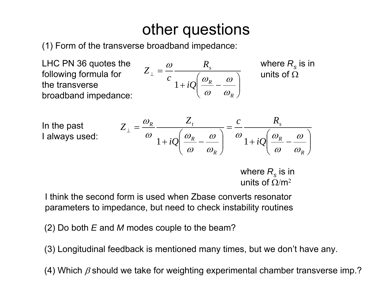## other questions

(1) Form of the transverse broadband impedance:

*Z*

LHC PN 36 quotes the following formula for the transverse broadband impedance:

$$
L_{\perp} = \frac{\omega}{c} \frac{R_s}{1 + iQ \left(\frac{\omega_R}{\omega} - \frac{\omega}{\omega_R}\right)}
$$

where  $R_{_{\mathrm{S}}}$  is in units of  $\Omega$ 

In the past I always used:

$$
Z_{\perp} = \frac{\omega_R}{\omega} \frac{Z_t}{1 + iQ \left(\frac{\omega_R}{\omega} - \frac{\omega}{\omega_R}\right)} = \frac{c}{\omega} \frac{R_s}{1 + iQ \left(\frac{\omega_R}{\omega} - \frac{\omega}{\omega_R}\right)}
$$

where  $R_{_{\mathrm{S}}}$  is in units of  $\Omega/m^2$ 

I think the second form is used when Zbase converts resonator parameters to impedance, but need to check instability routines

(2) Do both *E* and *M* modes couple to the beam?

(3) Longitudinal feedback is mentioned many times, but we don't have any.

(4) Which  $\beta$  should we take for weighting experimental chamber transverse imp.?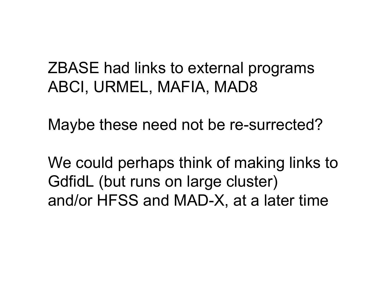## ZBASE had links to external programs ABCI, URMEL, MAFIA, MAD8

Maybe these need not be re-surrected?

We could perhaps think of making links to GdfidL (but runs on large cluster) and/or HFSS and MAD-X, at a later time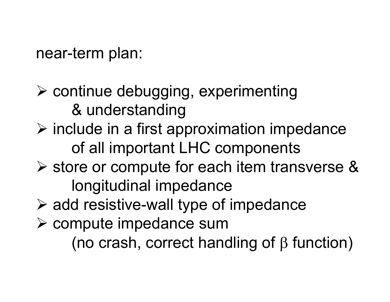#### near-term plan:

- ¾ continue debugging, experimenting & understanding
- $\triangleright$  include in a first approximation impedance of all important LHC components
- ¾ store or compute for each item transverse & longitudinal impedance
- $\triangleright$  add resistive-wall type of impedance
- ¾ compute impedance sum (no crash, correct handling of β function)